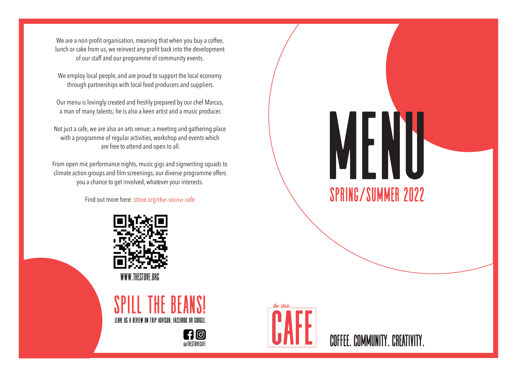We are a non-profit organisation, meaning that when you buy a coffee, lunch or cake from us, we reinvest any profit back into the development of our staff and our programme of community events.

We employ local people, and are proud to support the local economy through partnerships with local food producers and suppliers.

Our menu is lovingly created and freshly prepared by our chef Marcus, a man of many talents; he is also a keen artist and a music producer.

Not just a cafe, we are also an arts venue; a meeting and gathering place with a programme of regular activities, workshop and events which are free to attend and open to all.

From open mic performance nights, music gigs and signwriting squads to climate action groups and film screenings, our diverse programme offers you a chance to get involved, whatever your interests.

Find out more here: stove.org/the-stove-cafe



www.thestove.org







Н

SPRING/SUMMER 2022

 $\begin{bmatrix} 1 \\ 1 \end{bmatrix}$ 

 $\mathsf{V}_{\!\scriptscriptstyle{I}}$   $\mathsf{I}$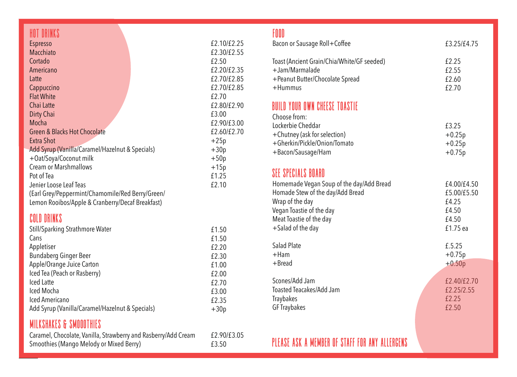## HOT DRINKS

| <b>Espresso</b>                                  | £2.10/£2.25 |
|--------------------------------------------------|-------------|
| Macchiato                                        | £2.30/£2.55 |
| Cortado                                          | £2.50       |
| Americano                                        | £2.20/£2.35 |
| Latte                                            | £2.70/£2.85 |
| Cappuccino                                       | £2.70/£2.85 |
| <b>Flat White</b>                                | £2.70       |
| Chai Latte                                       | £2.80/£2.90 |
| Dirty Chai                                       | £3.00       |
| Mocha                                            | £2.90/£3.00 |
| Green & Blacks Hot Chocolate                     | £2.60/£2.70 |
| <b>Extra Shot</b>                                | $+25p$      |
| Add Syrup (Vanilla/Caramel/Hazelnut & Specials)  | $+30p$      |
| +Oat/Soya/Coconut milk                           | $+50p$      |
| <b>Cream or Marshmallows</b>                     | $+15p$      |
| Pot of Tea                                       | £1.25       |
| Jenier Loose Leaf Teas                           | £2.10       |
| (Earl Grey/Peppermint/Chamomile/Red Berry/Green/ |             |
| Lemon Rooibos/Apple & Cranberry/Decaf Breakfast) |             |

## COLD DRINKS

| Still/Sparking Strathmore Water                 | £1.50  |
|-------------------------------------------------|--------|
| Cans                                            | £1.50  |
| Appletiser                                      | £2.20  |
| <b>Bundaberg Ginger Beer</b>                    | £2.30  |
| Apple/Orange Juice Carton                       | £1.00  |
| Iced Tea (Peach or Rasberry)                    | £2.00  |
| <b>Iced Latte</b>                               | £2.70  |
| Iced Mocha                                      | £3.00  |
| Iced Americano                                  | £2.35  |
| Add Syrup (Vanilla/Caramel/Hazelnut & Specials) | $+30p$ |

### MILKSHAKES & SMOooTHIES

Caramel, Chocolate, Vanilla, Strawberry and Rasberry/Add Cream Smoothies (Mango Melody or Mixed Berry)

£2.90/£3.05

£3.50

#### FO0D

| 1 U U V<br>Bacon or Sausage Roll+Coffee                                                                                                                                                           | £3.25/£4.75                                                       |
|---------------------------------------------------------------------------------------------------------------------------------------------------------------------------------------------------|-------------------------------------------------------------------|
| Toast (Ancient Grain/Chia/White/GF seeded)<br>+Jam/Marmalade<br>+Peanut Butter/Chocolate Spread<br>+Hummus                                                                                        | £2.25<br>£2.55<br>£2.60<br>£2.70                                  |
| BUILD YOUR OWN CHEESE TOASTIE<br>Choose from:<br>Lockerbie Cheddar<br>+Chutney (ask for selection)<br>+Gherkin/Pickle/Onion/Tomato<br>+Bacon/Sausage/Ham                                          | £3.25<br>$+0.25p$<br>$+0.25p$<br>$+0.75p$                         |
| SEE SPECIALS BOARD<br>Homemade Vegan Soup of the day/Add Bread<br>Homade Stew of the day/Add Bread<br>Wrap of the day<br>Vegan Toastie of the day<br>Meat Toastie of the day<br>+Salad of the day | £4.00/£4.50<br>£5.00/£5.50<br>£4.25<br>£4.50<br>£4.50<br>£1.75 ea |
| <b>Salad Plate</b><br>$+$ Ham                                                                                                                                                                     | £.5.25<br>$+0.75p$                                                |
| $+Bread$                                                                                                                                                                                          | $+0.50p$                                                          |
| Scones/Add Jam<br>Toasted Teacakes/Add Jam<br><b>Traybakes</b><br><b>GF Traybakes</b>                                                                                                             | £2.40/£2.70<br>£2.25/2.55<br>£2.25<br>£2.50                       |
|                                                                                                                                                                                                   |                                                                   |

ľ PLEASE ASK A MEMBER OF STAFF FOR ANY ALLERGENS